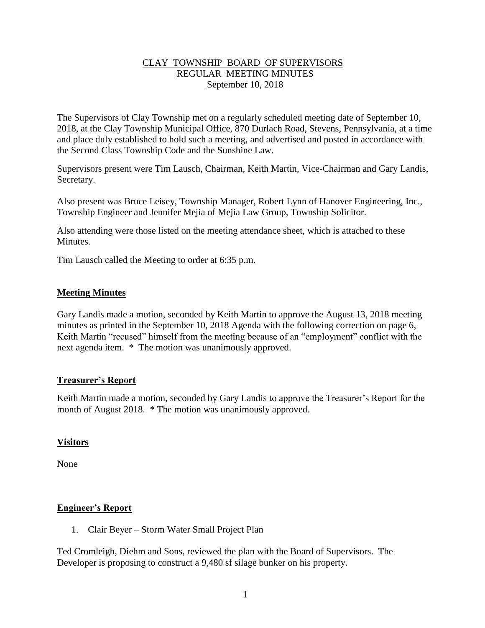## CLAY TOWNSHIP BOARD OF SUPERVISORS REGULAR MEETING MINUTES September 10, 2018

The Supervisors of Clay Township met on a regularly scheduled meeting date of September 10, 2018, at the Clay Township Municipal Office, 870 Durlach Road, Stevens, Pennsylvania, at a time and place duly established to hold such a meeting, and advertised and posted in accordance with the Second Class Township Code and the Sunshine Law.

Supervisors present were Tim Lausch, Chairman, Keith Martin, Vice-Chairman and Gary Landis, Secretary.

Also present was Bruce Leisey, Township Manager, Robert Lynn of Hanover Engineering, Inc., Township Engineer and Jennifer Mejia of Mejia Law Group, Township Solicitor.

Also attending were those listed on the meeting attendance sheet, which is attached to these **Minutes** 

Tim Lausch called the Meeting to order at 6:35 p.m.

## **Meeting Minutes**

Gary Landis made a motion, seconded by Keith Martin to approve the August 13, 2018 meeting minutes as printed in the September 10, 2018 Agenda with the following correction on page 6, Keith Martin "recused" himself from the meeting because of an "employment" conflict with the next agenda item. \* The motion was unanimously approved.

### **Treasurer's Report**

Keith Martin made a motion, seconded by Gary Landis to approve the Treasurer's Report for the month of August 2018. \* The motion was unanimously approved.

### **Visitors**

None

## **Engineer's Report**

1. Clair Beyer – Storm Water Small Project Plan

Ted Cromleigh, Diehm and Sons, reviewed the plan with the Board of Supervisors. The Developer is proposing to construct a 9,480 sf silage bunker on his property.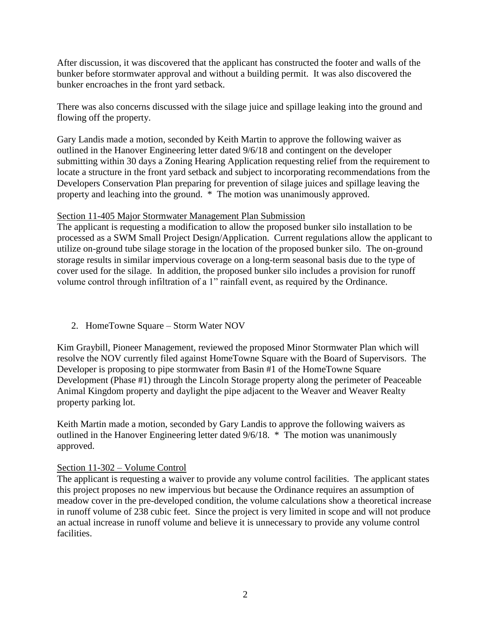After discussion, it was discovered that the applicant has constructed the footer and walls of the bunker before stormwater approval and without a building permit. It was also discovered the bunker encroaches in the front yard setback.

There was also concerns discussed with the silage juice and spillage leaking into the ground and flowing off the property.

Gary Landis made a motion, seconded by Keith Martin to approve the following waiver as outlined in the Hanover Engineering letter dated 9/6/18 and contingent on the developer submitting within 30 days a Zoning Hearing Application requesting relief from the requirement to locate a structure in the front yard setback and subject to incorporating recommendations from the Developers Conservation Plan preparing for prevention of silage juices and spillage leaving the property and leaching into the ground. \* The motion was unanimously approved.

## Section 11-405 Major Stormwater Management Plan Submission

The applicant is requesting a modification to allow the proposed bunker silo installation to be processed as a SWM Small Project Design/Application. Current regulations allow the applicant to utilize on-ground tube silage storage in the location of the proposed bunker silo. The on-ground storage results in similar impervious coverage on a long-term seasonal basis due to the type of cover used for the silage. In addition, the proposed bunker silo includes a provision for runoff volume control through infiltration of a 1" rainfall event, as required by the Ordinance.

## 2. HomeTowne Square – Storm Water NOV

Kim Graybill, Pioneer Management, reviewed the proposed Minor Stormwater Plan which will resolve the NOV currently filed against HomeTowne Square with the Board of Supervisors. The Developer is proposing to pipe stormwater from Basin #1 of the HomeTowne Square Development (Phase #1) through the Lincoln Storage property along the perimeter of Peaceable Animal Kingdom property and daylight the pipe adjacent to the Weaver and Weaver Realty property parking lot.

Keith Martin made a motion, seconded by Gary Landis to approve the following waivers as outlined in the Hanover Engineering letter dated 9/6/18. \* The motion was unanimously approved.

### Section 11-302 – Volume Control

The applicant is requesting a waiver to provide any volume control facilities. The applicant states this project proposes no new impervious but because the Ordinance requires an assumption of meadow cover in the pre-developed condition, the volume calculations show a theoretical increase in runoff volume of 238 cubic feet. Since the project is very limited in scope and will not produce an actual increase in runoff volume and believe it is unnecessary to provide any volume control facilities.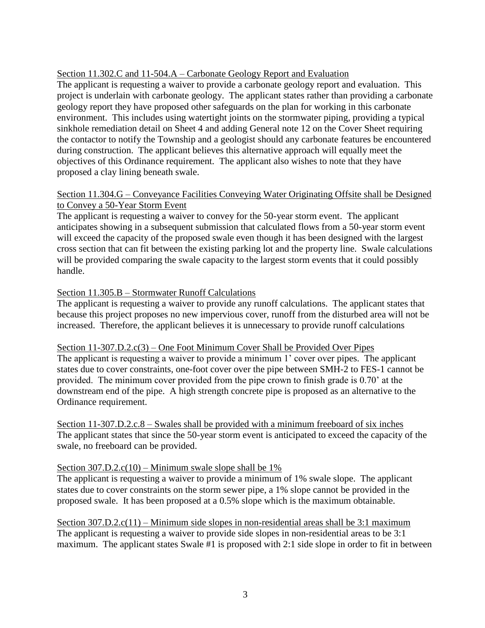## Section 11.302.C and 11-504.A – Carbonate Geology Report and Evaluation

The applicant is requesting a waiver to provide a carbonate geology report and evaluation. This project is underlain with carbonate geology. The applicant states rather than providing a carbonate geology report they have proposed other safeguards on the plan for working in this carbonate environment. This includes using watertight joints on the stormwater piping, providing a typical sinkhole remediation detail on Sheet 4 and adding General note 12 on the Cover Sheet requiring the contactor to notify the Township and a geologist should any carbonate features be encountered during construction. The applicant believes this alternative approach will equally meet the objectives of this Ordinance requirement. The applicant also wishes to note that they have proposed a clay lining beneath swale.

## Section 11.304.G – Conveyance Facilities Conveying Water Originating Offsite shall be Designed to Convey a 50-Year Storm Event

The applicant is requesting a waiver to convey for the 50-year storm event. The applicant anticipates showing in a subsequent submission that calculated flows from a 50-year storm event will exceed the capacity of the proposed swale even though it has been designed with the largest cross section that can fit between the existing parking lot and the property line. Swale calculations will be provided comparing the swale capacity to the largest storm events that it could possibly handle.

## Section 11.305.B – Stormwater Runoff Calculations

The applicant is requesting a waiver to provide any runoff calculations. The applicant states that because this project proposes no new impervious cover, runoff from the disturbed area will not be increased. Therefore, the applicant believes it is unnecessary to provide runoff calculations

### Section 11-307.D.2.c(3) – One Foot Minimum Cover Shall be Provided Over Pipes

The applicant is requesting a waiver to provide a minimum 1' cover over pipes. The applicant states due to cover constraints, one-foot cover over the pipe between SMH-2 to FES-1 cannot be provided. The minimum cover provided from the pipe crown to finish grade is 0.70' at the downstream end of the pipe. A high strength concrete pipe is proposed as an alternative to the Ordinance requirement.

Section 11-307.D.2.c.8 – Swales shall be provided with a minimum freeboard of six inches The applicant states that since the 50-year storm event is anticipated to exceed the capacity of the swale, no freeboard can be provided.

### Section  $307.D.2.c(10)$  – Minimum swale slope shall be  $1\%$

The applicant is requesting a waiver to provide a minimum of 1% swale slope. The applicant states due to cover constraints on the storm sewer pipe, a 1% slope cannot be provided in the proposed swale. It has been proposed at a 0.5% slope which is the maximum obtainable.

Section 307.D.2.c(11) – Minimum side slopes in non-residential areas shall be 3:1 maximum The applicant is requesting a waiver to provide side slopes in non-residential areas to be 3:1 maximum. The applicant states Swale #1 is proposed with 2:1 side slope in order to fit in between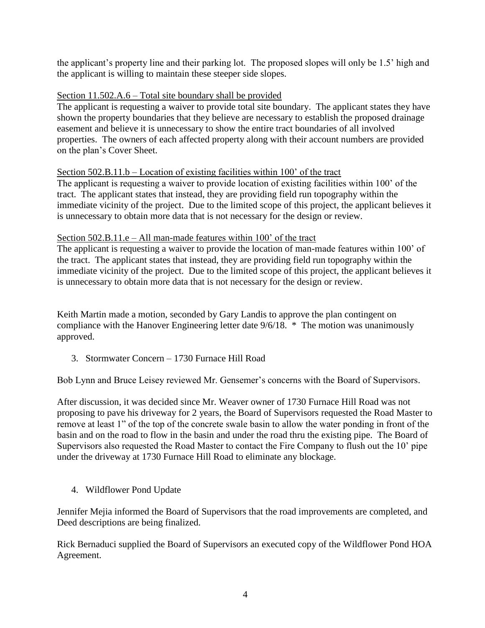the applicant's property line and their parking lot. The proposed slopes will only be 1.5' high and the applicant is willing to maintain these steeper side slopes.

## Section 11.502.A.6 – Total site boundary shall be provided

The applicant is requesting a waiver to provide total site boundary. The applicant states they have shown the property boundaries that they believe are necessary to establish the proposed drainage easement and believe it is unnecessary to show the entire tract boundaries of all involved properties. The owners of each affected property along with their account numbers are provided on the plan's Cover Sheet.

## Section 502.B.11.b – Location of existing facilities within 100' of the tract

The applicant is requesting a waiver to provide location of existing facilities within 100' of the tract. The applicant states that instead, they are providing field run topography within the immediate vicinity of the project. Due to the limited scope of this project, the applicant believes it is unnecessary to obtain more data that is not necessary for the design or review.

## Section 502.B.11.e – All man-made features within 100' of the tract

The applicant is requesting a waiver to provide the location of man-made features within 100' of the tract. The applicant states that instead, they are providing field run topography within the immediate vicinity of the project. Due to the limited scope of this project, the applicant believes it is unnecessary to obtain more data that is not necessary for the design or review.

Keith Martin made a motion, seconded by Gary Landis to approve the plan contingent on compliance with the Hanover Engineering letter date 9/6/18. \* The motion was unanimously approved.

3. Stormwater Concern – 1730 Furnace Hill Road

Bob Lynn and Bruce Leisey reviewed Mr. Gensemer's concerns with the Board of Supervisors.

After discussion, it was decided since Mr. Weaver owner of 1730 Furnace Hill Road was not proposing to pave his driveway for 2 years, the Board of Supervisors requested the Road Master to remove at least 1" of the top of the concrete swale basin to allow the water ponding in front of the basin and on the road to flow in the basin and under the road thru the existing pipe. The Board of Supervisors also requested the Road Master to contact the Fire Company to flush out the 10' pipe under the driveway at 1730 Furnace Hill Road to eliminate any blockage.

4. Wildflower Pond Update

Jennifer Mejia informed the Board of Supervisors that the road improvements are completed, and Deed descriptions are being finalized.

Rick Bernaduci supplied the Board of Supervisors an executed copy of the Wildflower Pond HOA Agreement.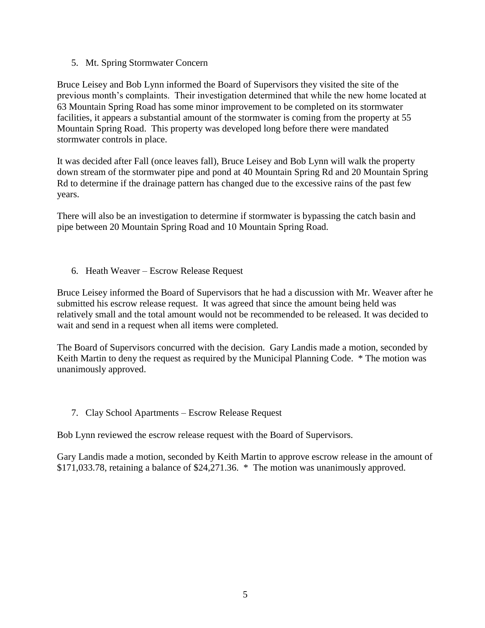5. Mt. Spring Stormwater Concern

Bruce Leisey and Bob Lynn informed the Board of Supervisors they visited the site of the previous month's complaints. Their investigation determined that while the new home located at 63 Mountain Spring Road has some minor improvement to be completed on its stormwater facilities, it appears a substantial amount of the stormwater is coming from the property at 55 Mountain Spring Road. This property was developed long before there were mandated stormwater controls in place.

It was decided after Fall (once leaves fall), Bruce Leisey and Bob Lynn will walk the property down stream of the stormwater pipe and pond at 40 Mountain Spring Rd and 20 Mountain Spring Rd to determine if the drainage pattern has changed due to the excessive rains of the past few years.

There will also be an investigation to determine if stormwater is bypassing the catch basin and pipe between 20 Mountain Spring Road and 10 Mountain Spring Road.

6. Heath Weaver – Escrow Release Request

Bruce Leisey informed the Board of Supervisors that he had a discussion with Mr. Weaver after he submitted his escrow release request. It was agreed that since the amount being held was relatively small and the total amount would not be recommended to be released. It was decided to wait and send in a request when all items were completed.

The Board of Supervisors concurred with the decision. Gary Landis made a motion, seconded by Keith Martin to deny the request as required by the Municipal Planning Code. \* The motion was unanimously approved.

### 7. Clay School Apartments – Escrow Release Request

Bob Lynn reviewed the escrow release request with the Board of Supervisors.

Gary Landis made a motion, seconded by Keith Martin to approve escrow release in the amount of \$171,033.78, retaining a balance of \$24,271.36. \* The motion was unanimously approved.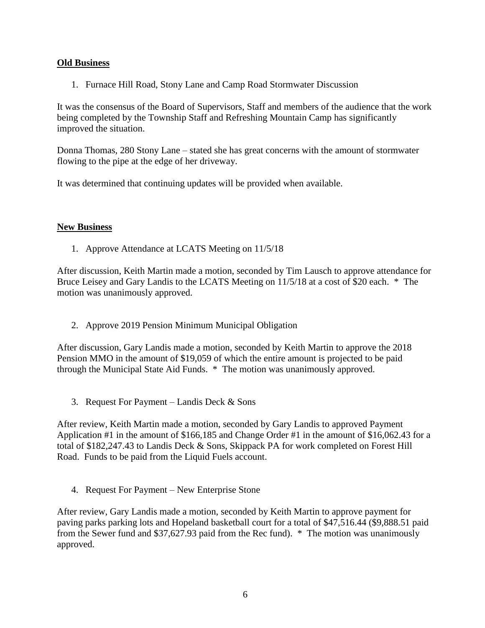## **Old Business**

1. Furnace Hill Road, Stony Lane and Camp Road Stormwater Discussion

It was the consensus of the Board of Supervisors, Staff and members of the audience that the work being completed by the Township Staff and Refreshing Mountain Camp has significantly improved the situation.

Donna Thomas, 280 Stony Lane – stated she has great concerns with the amount of stormwater flowing to the pipe at the edge of her driveway.

It was determined that continuing updates will be provided when available.

## **New Business**

1. Approve Attendance at LCATS Meeting on 11/5/18

After discussion, Keith Martin made a motion, seconded by Tim Lausch to approve attendance for Bruce Leisey and Gary Landis to the LCATS Meeting on 11/5/18 at a cost of \$20 each. \* The motion was unanimously approved.

2. Approve 2019 Pension Minimum Municipal Obligation

After discussion, Gary Landis made a motion, seconded by Keith Martin to approve the 2018 Pension MMO in the amount of \$19,059 of which the entire amount is projected to be paid through the Municipal State Aid Funds. \* The motion was unanimously approved.

3. Request For Payment – Landis Deck & Sons

After review, Keith Martin made a motion, seconded by Gary Landis to approved Payment Application #1 in the amount of \$166,185 and Change Order #1 in the amount of \$16,062.43 for a total of \$182,247.43 to Landis Deck & Sons, Skippack PA for work completed on Forest Hill Road. Funds to be paid from the Liquid Fuels account.

4. Request For Payment – New Enterprise Stone

After review, Gary Landis made a motion, seconded by Keith Martin to approve payment for paving parks parking lots and Hopeland basketball court for a total of \$47,516.44 (\$9,888.51 paid from the Sewer fund and \$37,627.93 paid from the Rec fund). \* The motion was unanimously approved.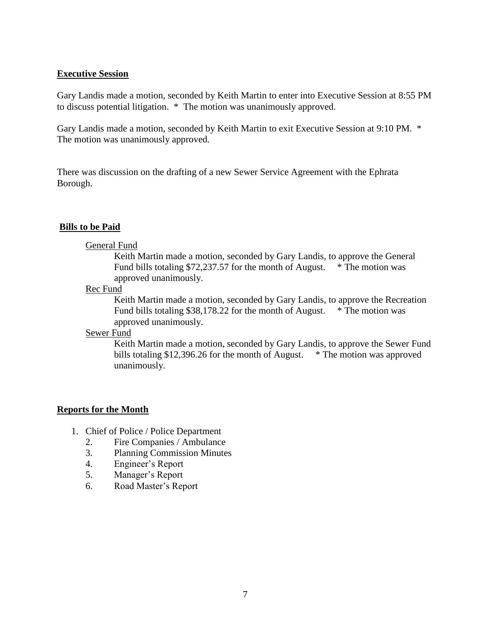### **Executive Session**

Gary Landis made a motion, seconded by Keith Martin to enter into Executive Session at 8:55 PM to discuss potential litigation. \* The motion was unanimously approved.

Gary Landis made a motion, seconded by Keith Martin to exit Executive Session at 9:10 PM. \* The motion was unanimously approved.

There was discussion on the drafting of a new Sewer Service Agreement with the Ephrata Borough.

### **Bills to be Paid**

#### General Fund

Keith Martin made a motion, seconded by Gary Landis, to approve the General Fund bills totaling \$72,237.57 for the month of August. \* The motion was approved unanimously.

#### Rec Fund

Keith Martin made a motion, seconded by Gary Landis, to approve the Recreation Fund bills totaling \$38,178.22 for the month of August. \* The motion was approved unanimously.

#### Sewer Fund

Keith Martin made a motion, seconded by Gary Landis, to approve the Sewer Fund bills totaling \$12,396.26 for the month of August. \* The motion was approved unanimously.

#### **Reports for the Month**

- 1. Chief of Police / Police Department
	- 2. Fire Companies / Ambulance
	- 3. Planning Commission Minutes
	- 4. Engineer's Report
	- 5. Manager's Report
	- 6. Road Master's Report